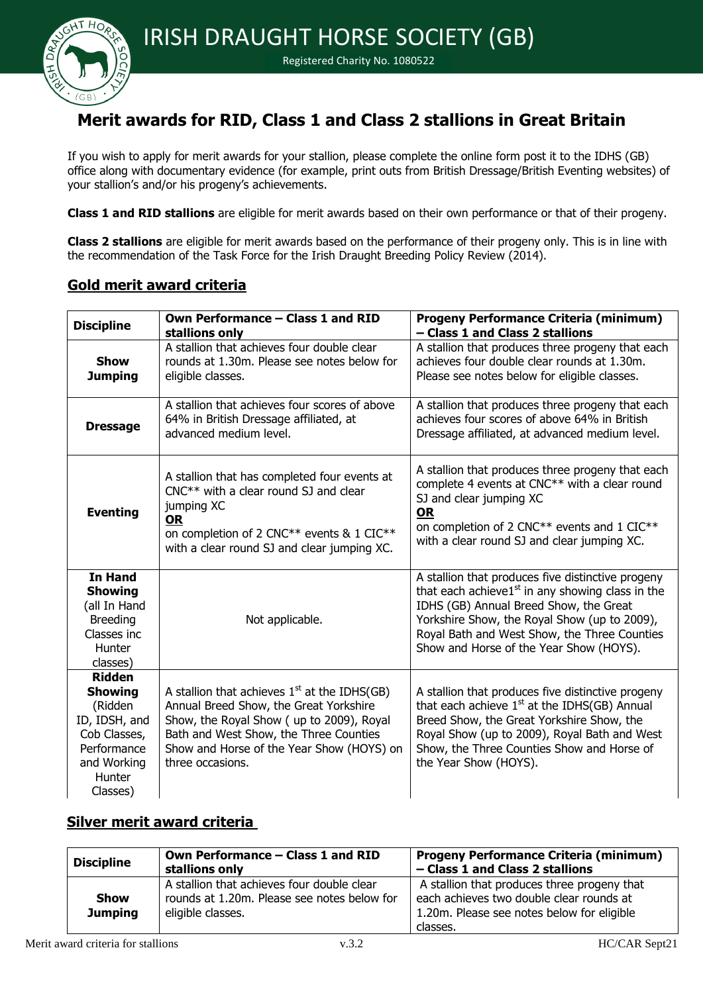

#### Registered Charity No. 1080522

# **Merit awards for RID, Class 1 and Class 2 stallions in Great Britain**

If you wish to apply for merit awards for your stallion, please complete the online form post it to the IDHS (GB) office along with documentary evidence (for example, print outs from British Dressage/British Eventing websites) of your stallion's and/or his progeny's achievements.

**Class 1 and RID stallions** are eligible for merit awards based on their own performance or that of their progeny.

**Class 2 stallions** are eligible for merit awards based on the performance of their progeny only. This is in line with the recommendation of the Task Force for the Irish Draught Breeding Policy Review (2014).

### **Gold merit award criteria**

| <b>Discipline</b>                                                                                                               | Own Performance - Class 1 and RID<br>stallions only                                                                                                                                                                                             | <b>Progeny Performance Criteria (minimum)</b><br>- Class 1 and Class 2 stallions                                                                                                                                                                                                              |
|---------------------------------------------------------------------------------------------------------------------------------|-------------------------------------------------------------------------------------------------------------------------------------------------------------------------------------------------------------------------------------------------|-----------------------------------------------------------------------------------------------------------------------------------------------------------------------------------------------------------------------------------------------------------------------------------------------|
| <b>Show</b><br><b>Jumping</b>                                                                                                   | A stallion that achieves four double clear<br>rounds at 1.30m. Please see notes below for<br>eligible classes.                                                                                                                                  | A stallion that produces three progeny that each<br>achieves four double clear rounds at 1.30m.<br>Please see notes below for eligible classes.                                                                                                                                               |
| <b>Dressage</b>                                                                                                                 | A stallion that achieves four scores of above<br>64% in British Dressage affiliated, at<br>advanced medium level.                                                                                                                               | A stallion that produces three progeny that each<br>achieves four scores of above 64% in British<br>Dressage affiliated, at advanced medium level.                                                                                                                                            |
| <b>Eventing</b>                                                                                                                 | A stallion that has completed four events at<br>$CNC***$ with a clear round SJ and clear<br>jumping XC<br><u>OR</u><br>on completion of 2 CNC** events & 1 CIC**<br>with a clear round SJ and clear jumping XC.                                 | A stallion that produces three progeny that each<br>complete 4 events at CNC** with a clear round<br>SJ and clear jumping XC<br><b>OR</b><br>on completion of 2 CNC** events and 1 CIC**<br>with a clear round SJ and clear jumping XC.                                                       |
| <b>In Hand</b><br><b>Showing</b><br>(all In Hand<br><b>Breeding</b><br>Classes inc<br>Hunter<br>classes)                        | Not applicable.                                                                                                                                                                                                                                 | A stallion that produces five distinctive progeny<br>that each achieve1 $st$ in any showing class in the<br>IDHS (GB) Annual Breed Show, the Great<br>Yorkshire Show, the Royal Show (up to 2009),<br>Royal Bath and West Show, the Three Counties<br>Show and Horse of the Year Show (HOYS). |
| <b>Ridden</b><br><b>Showing</b><br>(Ridden<br>ID, IDSH, and<br>Cob Classes,<br>Performance<br>and Working<br>Hunter<br>Classes) | A stallion that achieves $1st$ at the IDHS(GB)<br>Annual Breed Show, the Great Yorkshire<br>Show, the Royal Show (up to 2009), Royal<br>Bath and West Show, the Three Counties<br>Show and Horse of the Year Show (HOYS) on<br>three occasions. | A stallion that produces five distinctive progeny<br>that each achieve 1st at the IDHS(GB) Annual<br>Breed Show, the Great Yorkshire Show, the<br>Royal Show (up to 2009), Royal Bath and West<br>Show, the Three Counties Show and Horse of<br>the Year Show (HOYS).                         |

## **Silver merit award criteria**

| <b>Discipline</b>      | Own Performance - Class 1 and RID<br>stallions only                                                            | <b>Progeny Performance Criteria (minimum)</b><br>- Class 1 and Class 2 stallions                                                                  |
|------------------------|----------------------------------------------------------------------------------------------------------------|---------------------------------------------------------------------------------------------------------------------------------------------------|
| Show<br><b>Jumping</b> | A stallion that achieves four double clear<br>rounds at 1.20m. Please see notes below for<br>eligible classes. | A stallion that produces three progeny that<br>each achieves two double clear rounds at<br>1.20m. Please see notes below for eligible<br>classes. |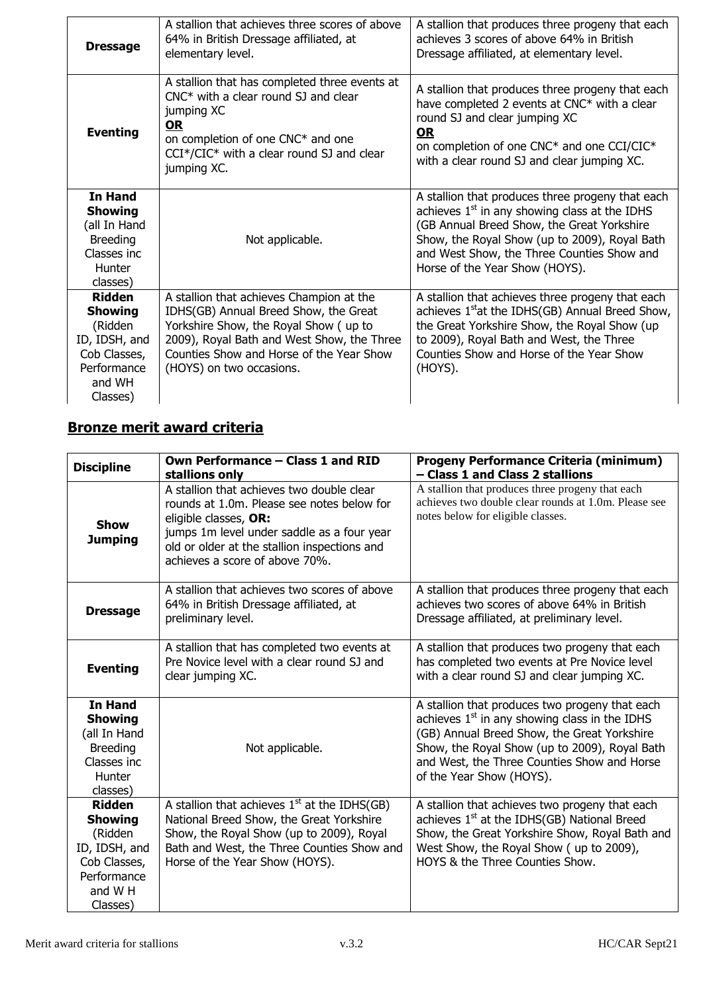| <b>Dressage</b>                                                                                                  | A stallion that achieves three scores of above<br>64% in British Dressage affiliated, at<br>elementary level.                                                                                                                                    | A stallion that produces three progeny that each<br>achieves 3 scores of above 64% in British<br>Dressage affiliated, at elementary level.                                                                                                                                         |
|------------------------------------------------------------------------------------------------------------------|--------------------------------------------------------------------------------------------------------------------------------------------------------------------------------------------------------------------------------------------------|------------------------------------------------------------------------------------------------------------------------------------------------------------------------------------------------------------------------------------------------------------------------------------|
| <b>Eventing</b>                                                                                                  | A stallion that has completed three events at<br>$CNC*$ with a clear round SJ and clear<br>jumping XC<br><b>OR</b><br>on completion of one CNC* and one<br>$CCI*/CIC*$ with a clear round SJ and clear<br>jumping XC.                            | A stallion that produces three progeny that each<br>have completed 2 events at CNC* with a clear<br>round SJ and clear jumping XC<br><u>OR</u><br>on completion of one CNC* and one CCI/CIC*<br>with a clear round SJ and clear jumping XC.                                        |
| <b>In Hand</b><br><b>Showing</b><br>(all In Hand<br><b>Breeding</b><br>Classes inc.<br>Hunter<br>classes)        | Not applicable.                                                                                                                                                                                                                                  | A stallion that produces three progeny that each<br>achieves $1st$ in any showing class at the IDHS<br>(GB Annual Breed Show, the Great Yorkshire<br>Show, the Royal Show (up to 2009), Royal Bath<br>and West Show, the Three Counties Show and<br>Horse of the Year Show (HOYS). |
| <b>Ridden</b><br><b>Showing</b><br>(Ridden<br>ID, IDSH, and<br>Cob Classes,<br>Performance<br>and WH<br>Classes) | A stallion that achieves Champion at the<br>IDHS(GB) Annual Breed Show, the Great<br>Yorkshire Show, the Royal Show (up to<br>2009), Royal Bath and West Show, the Three<br>Counties Show and Horse of the Year Show<br>(HOYS) on two occasions. | A stallion that achieves three progeny that each<br>achieves 1 <sup>st</sup> at the IDHS(GB) Annual Breed Show,<br>the Great Yorkshire Show, the Royal Show (up<br>to 2009), Royal Bath and West, the Three<br>Counties Show and Horse of the Year Show<br>(HOYS).                 |

## **Bronze merit award criteria**

| <b>Discipline</b>                                                                                                 | Own Performance - Class 1 and RID<br>stallions only                                                                                                                                                                                              | <b>Progeny Performance Criteria (minimum)</b><br>- Class 1 and Class 2 stallions                                                                                                                                                                                             |
|-------------------------------------------------------------------------------------------------------------------|--------------------------------------------------------------------------------------------------------------------------------------------------------------------------------------------------------------------------------------------------|------------------------------------------------------------------------------------------------------------------------------------------------------------------------------------------------------------------------------------------------------------------------------|
| <b>Show</b><br><b>Jumping</b>                                                                                     | A stallion that achieves two double clear<br>rounds at 1.0m. Please see notes below for<br>eligible classes, OR:<br>jumps 1m level under saddle as a four year<br>old or older at the stallion inspections and<br>achieves a score of above 70%. | A stallion that produces three progeny that each<br>achieves two double clear rounds at 1.0m. Please see<br>notes below for eligible classes.                                                                                                                                |
| <b>Dressage</b>                                                                                                   | A stallion that achieves two scores of above<br>64% in British Dressage affiliated, at<br>preliminary level.                                                                                                                                     | A stallion that produces three progeny that each<br>achieves two scores of above 64% in British<br>Dressage affiliated, at preliminary level.                                                                                                                                |
| <b>Eventing</b>                                                                                                   | A stallion that has completed two events at<br>Pre Novice level with a clear round SJ and<br>clear jumping XC.                                                                                                                                   | A stallion that produces two progeny that each<br>has completed two events at Pre Novice level<br>with a clear round SJ and clear jumping XC.                                                                                                                                |
| <b>In Hand</b><br><b>Showing</b><br>(all In Hand<br><b>Breeding</b><br>Classes inc<br>Hunter<br>classes)          | Not applicable.                                                                                                                                                                                                                                  | A stallion that produces two progeny that each<br>achieves $1st$ in any showing class in the IDHS<br>(GB) Annual Breed Show, the Great Yorkshire<br>Show, the Royal Show (up to 2009), Royal Bath<br>and West, the Three Counties Show and Horse<br>of the Year Show (HOYS). |
| <b>Ridden</b><br><b>Showing</b><br>(Ridden<br>ID, IDSH, and<br>Cob Classes,<br>Performance<br>and W H<br>Classes) | A stallion that achieves $1st$ at the IDHS(GB)<br>National Breed Show, the Great Yorkshire<br>Show, the Royal Show (up to 2009), Royal<br>Bath and West, the Three Counties Show and<br>Horse of the Year Show (HOYS).                           | A stallion that achieves two progeny that each<br>achieves 1 <sup>st</sup> at the IDHS(GB) National Breed<br>Show, the Great Yorkshire Show, Royal Bath and<br>West Show, the Royal Show (up to 2009),<br>HOYS & the Three Counties Show.                                    |